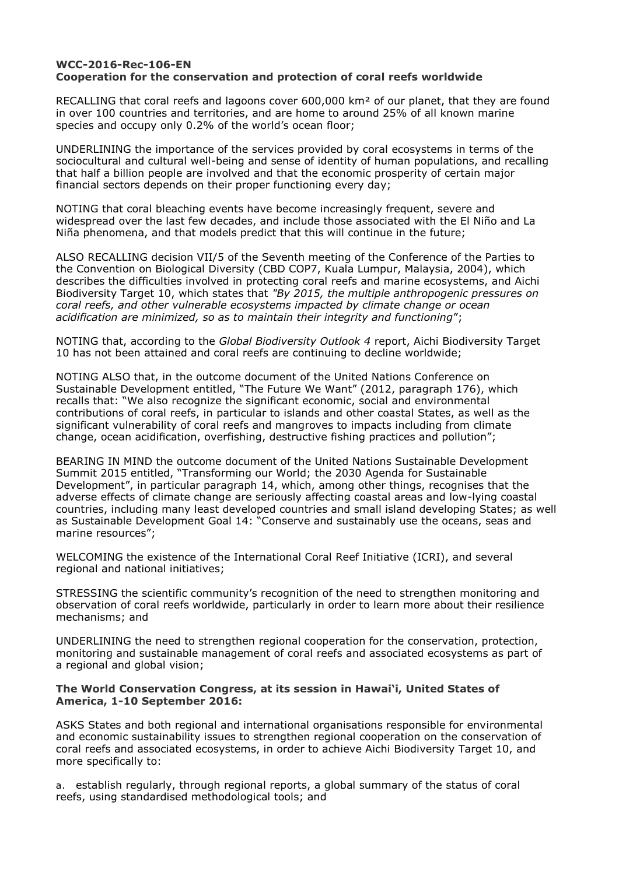## **WCC-2016-Rec-106-EN Cooperation for the conservation and protection of coral reefs worldwide**

RECALLING that coral reefs and lagoons cover 600,000 km<sup>2</sup> of our planet, that they are found in over 100 countries and territories, and are home to around 25% of all known marine species and occupy only 0.2% of the world's ocean floor;

UNDERLINING the importance of the services provided by coral ecosystems in terms of the sociocultural and cultural well-being and sense of identity of human populations, and recalling that half a billion people are involved and that the economic prosperity of certain major financial sectors depends on their proper functioning every day;

NOTING that coral bleaching events have become increasingly frequent, severe and widespread over the last few decades, and include those associated with the El Niño and La Niña phenomena, and that models predict that this will continue in the future;

ALSO RECALLING decision VII/5 of the Seventh meeting of the Conference of the Parties to the Convention on Biological Diversity (CBD COP7, Kuala Lumpur, Malaysia, 2004), which describes the difficulties involved in protecting coral reefs and marine ecosystems, and Aichi Biodiversity Target 10, which states that *"By 2015, the multiple anthropogenic pressures on coral reefs, and other vulnerable ecosystems impacted by climate change or ocean acidification are minimized, so as to maintain their integrity and functioning*";

NOTING that, according to the *Global Biodiversity Outlook 4* report, Aichi Biodiversity Target 10 has not been attained and coral reefs are continuing to decline worldwide;

NOTING ALSO that, in the outcome document of the United Nations Conference on Sustainable Development entitled, "The Future We Want" (2012, paragraph 176), which recalls that: "We also recognize the significant economic, social and environmental contributions of coral reefs, in particular to islands and other coastal States, as well as the significant vulnerability of coral reefs and mangroves to impacts including from climate change, ocean acidification, overfishing, destructive fishing practices and pollution";

BEARING IN MIND the outcome document of the United Nations Sustainable Development Summit 2015 entitled, "Transforming our World; the 2030 Agenda for Sustainable Development", in particular paragraph 14, which, among other things, recognises that the adverse effects of climate change are seriously affecting coastal areas and low-lying coastal countries, including many least developed countries and small island developing States; as well as Sustainable Development Goal 14: "Conserve and sustainably use the oceans, seas and marine resources";

WELCOMING the existence of the International Coral Reef Initiative (ICRI), and several regional and national initiatives;

STRESSING the scientific community's recognition of the need to strengthen monitoring and observation of coral reefs worldwide, particularly in order to learn more about their resilience mechanisms; and

UNDERLINING the need to strengthen regional cooperation for the conservation, protection, monitoring and sustainable management of coral reefs and associated ecosystems as part of a regional and global vision;

## **The World Conservation Congress, at its session in Hawai'i, United States of America, 1-10 September 2016:**

ASKS States and both regional and international organisations responsible for environmental and economic sustainability issues to strengthen regional cooperation on the conservation of coral reefs and associated ecosystems, in order to achieve Aichi Biodiversity Target 10, and more specifically to:

a. establish regularly, through regional reports, a global summary of the status of coral reefs, using standardised methodological tools; and